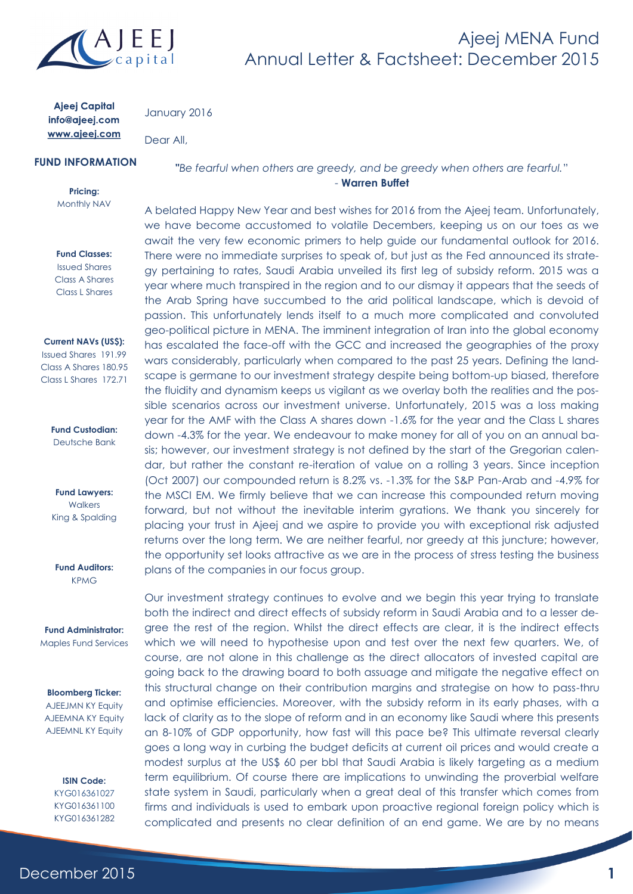

**Ajeej Capital** info@ajeej.com www.ajeej.com

January 2016

Dear All,

## **FUND INFORMATION**

**Pricing:** Monthly NAV

#### **Fund Classes:**

Issued Shares Class A Shares Class L Shares

#### **Current NAVs (US\$):**

Issued Shares 191.99 Class A Shares 180.95 Class L Shares 172.71

> **Fund Custodian:** Deutsche Bank

**Fund Lawyers: Walkers** King & Spalding

**Fund Auditors:** KPMG

**Fund Administrator:** Maples Fund Services

#### **Bloomberg Ticker:**

AJEEJMN KY Equity AJEEMNA KY Equity AJEEMNL KY Equity

> **ISIN Code:** KYG016361027 KYG016361100 KYG016361282

**"***[Be fearful when others are greedy, and be greedy when others are fearful.](http://www.brainyquote.com/quotes/quotes/v/vladimirna398291.html?src=t_complacency)*" - **Warren Buffet**

A belated Happy New Year and best wishes for 2016 from the Ajeej team. Unfortunately, we have become accustomed to volatile Decembers, keeping us on our toes as we await the very few economic primers to help guide our fundamental outlook for 2016. There were no immediate surprises to speak of, but just as the Fed announced its strategy pertaining to rates, Saudi Arabia unveiled its first leg of subsidy reform. 2015 was a year where much transpired in the region and to our dismay it appears that the seeds of the Arab Spring have succumbed to the arid political landscape, which is devoid of passion. This unfortunately lends itself to a much more complicated and convoluted geo-political picture in MENA. The imminent integration of Iran into the global economy has escalated the face-off with the GCC and increased the geographies of the proxy wars considerably, particularly when compared to the past 25 years. Defining the landscape is germane to our investment strategy despite being bottom-up biased, therefore the fluidity and dynamism keeps us vigilant as we overlay both the realities and the possible scenarios across our investment universe. Unfortunately, 2015 was a loss making year for the AMF with the Class A shares down -1.6% for the year and the Class L shares down -4.3% for the year. We endeavour to make money for all of you on an annual basis; however, our investment strategy is not defined by the start of the Gregorian calendar, but rather the constant re-iteration of value on a rolling 3 years. Since inception (Oct 2007) our compounded return is 8.2% vs. -1.3% for the S&P Pan-Arab and -4.9% for the MSCI EM. We firmly believe that we can increase this compounded return moving forward, but not without the inevitable interim gyrations. We thank you sincerely for placing your trust in Ajeej and we aspire to provide you with exceptional risk adjusted returns over the long term. We are neither fearful, nor greedy at this juncture; however, the opportunity set looks attractive as we are in the process of stress testing the business plans of the companies in our focus group.

Our investment strategy continues to evolve and we begin this year trying to translate both the indirect and direct effects of subsidy reform in Saudi Arabia and to a lesser degree the rest of the region. Whilst the direct effects are clear, it is the indirect effects which we will need to hypothesise upon and test over the next few quarters. We, of course, are not alone in this challenge as the direct allocators of invested capital are going back to the drawing board to both assuage and mitigate the negative effect on this structural change on their contribution margins and strategise on how to pass-thru and optimise efficiencies. Moreover, with the subsidy reform in its early phases, with a lack of clarity as to the slope of reform and in an economy like Saudi where this presents an 8-10% of GDP opportunity, how fast will this pace be? This ultimate reversal clearly goes a long way in curbing the budget deficits at current oil prices and would create a modest surplus at the US\$ 60 per bbl that Saudi Arabia is likely targeting as a medium term equilibrium. Of course there are implications to unwinding the proverbial welfare state system in Saudi, particularly when a great deal of this transfer which comes from firms and individuals is used to embark upon proactive regional foreign policy which is complicated and presents no clear definition of an end game. We are by no means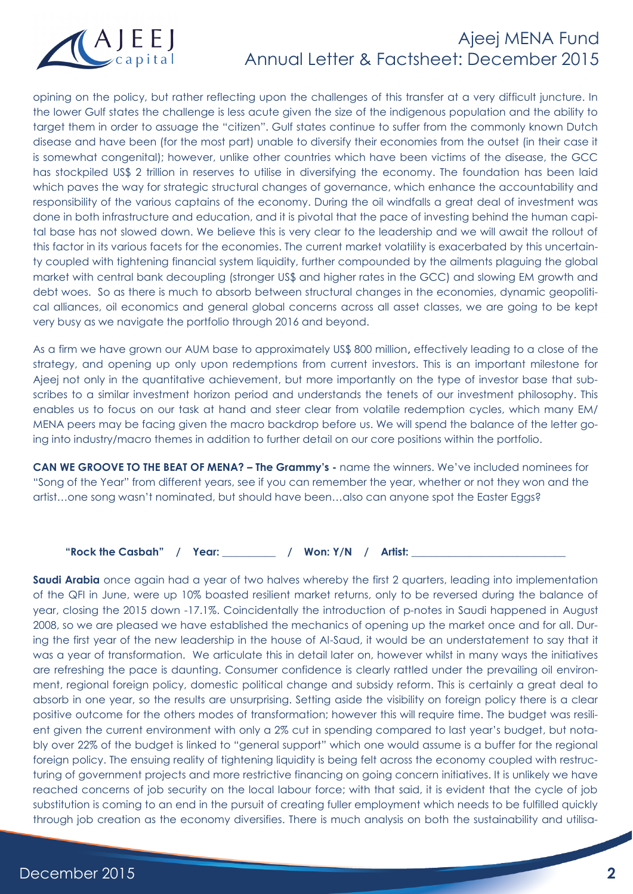

opining on the policy, but rather reflecting upon the challenges of this transfer at a very difficult juncture. In the lower Gulf states the challenge is less acute given the size of the indigenous population and the ability to target them in order to assuage the "citizen". Gulf states continue to suffer from the commonly known Dutch disease and have been (for the most part) unable to diversify their economies from the outset (in their case it is somewhat congenital); however, unlike other countries which have been victims of the disease, the GCC has stockpiled US\$ 2 trillion in reserves to utilise in diversifying the economy. The foundation has been laid which paves the way for strategic structural changes of governance, which enhance the accountability and responsibility of the various captains of the economy. During the oil windfalls a great deal of investment was done in both infrastructure and education, and it is pivotal that the pace of investing behind the human capital base has not slowed down. We believe this is very clear to the leadership and we will await the rollout of this factor in its various facets for the economies. The current market volatility is exacerbated by this uncertainty coupled with tightening financial system liquidity, further compounded by the ailments plaguing the global market with central bank decoupling (stronger US\$ and higher rates in the GCC) and slowing EM growth and debt woes. So as there is much to absorb between structural changes in the economies, dynamic geopolitical alliances, oil economics and general global concerns across all asset classes, we are going to be kept very busy as we navigate the portfolio through 2016 and beyond.

As a firm we have grown our AUM base to approximately US\$ 800 million**,** effectively leading to a close of the strategy, and opening up only upon redemptions from current investors. This is an important milestone for Ajeej not only in the quantitative achievement, but more importantly on the type of investor base that subscribes to a similar investment horizon period and understands the tenets of our investment philosophy. This enables us to focus on our task at hand and steer clear from volatile redemption cycles, which many EM/ MENA peers may be facing given the macro backdrop before us. We will spend the balance of the letter going into industry/macro themes in addition to further detail on our core positions within the portfolio.

**CAN WE GROOVE TO THE BEAT OF MENA? – The Grammy's -** name the winners. We've included nominees for "Song of the Year" from different years, see if you can remember the year, whether or not they won and the artist…one song wasn't nominated, but should have been…also can anyone spot the Easter Eggs?

"Rock the Casbah" / Year: / Won: Y/N / Artist:

**Saudi Arabia** once again had a year of two halves whereby the first 2 quarters, leading into implementation of the QFI in June, were up 10% boasted resilient market returns, only to be reversed during the balance of year, closing the 2015 down -17.1%. Coincidentally the introduction of p-notes in Saudi happened in August 2008, so we are pleased we have established the mechanics of opening up the market once and for all. During the first year of the new leadership in the house of Al-Saud, it would be an understatement to say that it was a year of transformation. We articulate this in detail later on, however whilst in many ways the initiatives are refreshing the pace is daunting. Consumer confidence is clearly rattled under the prevailing oil environment, regional foreign policy, domestic political change and subsidy reform. This is certainly a great deal to absorb in one year, so the results are unsurprising. Setting aside the visibility on foreign policy there is a clear positive outcome for the others modes of transformation; however this will require time. The budget was resilient given the current environment with only a 2% cut in spending compared to last year's budget, but notably over 22% of the budget is linked to "general support" which one would assume is a buffer for the regional foreign policy. The ensuing reality of tightening liquidity is being felt across the economy coupled with restructuring of government projects and more restrictive financing on going concern initiatives. It is unlikely we have reached concerns of job security on the local labour force; with that said, it is evident that the cycle of job substitution is coming to an end in the pursuit of creating fuller employment which needs to be fulfilled quickly through job creation as the economy diversifies. There is much analysis on both the sustainability and utilisa-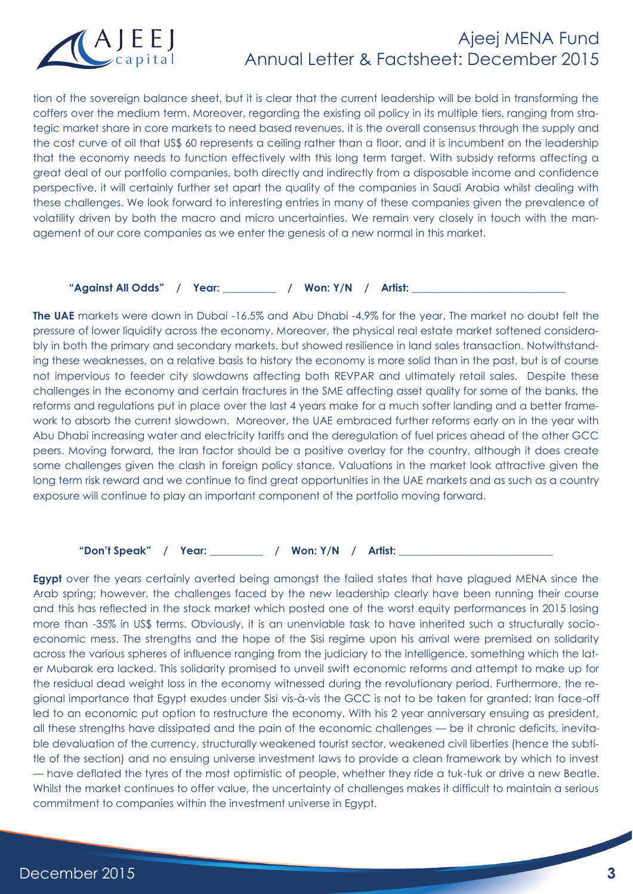

tion of the sovereign balance sheet, but it is clear that the current leadership will be bold in transforming the coffers over the medium term. Moreover, regarding the existing oil policy in its multiple tiers, ranging from strategic market share in core markets to need based revenues, it is the overall consensus through the supply and the cost curve of oil that US\$ 60 represents a ceiling rather than a floor, and it is incumbent on the leadership that the economy needs to function effectively with this long term target. With subsidy reforms affecting a great deal of our portfolio companies, both directly and indirectly from a disposable income and confidence perspective, it will certainly further set apart the quality of the companies in Saudi Arabia whilst dealing with these challenges. We look forward to interesting entries in many of these companies given the prevalence of volatility driven by both the macro and micro uncertainties. We remain very closely in touch with the management of our core companies as we enter the genesis of a new normal in this market.

"Against All Odds" / Year: / Won: Y/N / Artist:

**The UAE** markets were down in Dubai -16.5% and Abu Dhabi -4.9% for the year. The market no doubt felt the pressure of lower liquidity across the economy. Moreover, the physical real estate market softened considerably in both the primary and secondary markets, but showed resilience in land sales transaction. Notwithstanding these weaknesses, on a relative basis to history the economy is more solid than in the past, but is of course not impervious to feeder city slowdowns affecting both REVPAR and ultimately retail sales. Despite these challenges in the economy and certain fractures in the SME affecting asset quality for some of the banks, the reforms and regulations put in place over the last 4 years make for a much softer landing and a better framework to absorb the current slowdown. Moreover, the UAE embraced further reforms early on in the year with Abu Dhabi increasing water and electricity tariffs and the deregulation of fuel prices ahead of the other GCC peers. Moving forward, the Iran factor should be a positive overlay for the country, although it does create some challenges given the clash in foreign policy stance. Valuations in the market look attractive given the long term risk reward and we continue to find great opportunities in the UAE markets and as such as a country exposure will continue to play an important component of the portfolio moving forward.

**"Don't Speak" / Year: \_\_\_\_\_\_\_\_\_\_ / Won: Y/N / Artist: \_\_\_\_\_\_\_\_\_\_\_\_\_\_\_\_\_\_\_\_\_\_\_\_\_\_\_\_\_**

**Egypt** over the years certainly averted being amongst the failed states that have plagued MENA since the Arab spring; however, the challenges faced by the new leadership clearly have been running their course and this has reflected in the stock market which posted one of the worst equity performances in 2015 losing more than -35% in US\$ terms. Obviously, it is an unenviable task to have inherited such a structurally socioeconomic mess. The strengths and the hope of the Sisi regime upon his arrival were premised on solidarity across the various spheres of influence ranging from the judiciary to the intelligence, something which the later Mubarak era lacked. This solidarity promised to unveil swift economic reforms and attempt to make up for the residual dead weight loss in the economy witnessed during the revolutionary period. Furthermore, the regional importance that Egypt exudes under Sisi vis-à-vis the GCC is not to be taken for granted: Iran face-off led to an economic put option to restructure the economy. With his 2 year anniversary ensuing as president, all these strengths have dissipated and the pain of the economic challenges — be it chronic deficits, inevitable devaluation of the currency, structurally weakened tourist sector, weakened civil liberties (hence the subtitle of the section) and no ensuing universe investment laws to provide a clean framework by which to invest — have deflated the tyres of the most optimistic of people, whether they ride a tuk-tuk or drive a new Beatle. Whilst the market continues to offer value, the uncertainty of challenges makes it difficult to maintain a serious commitment to companies within the investment universe in Egypt.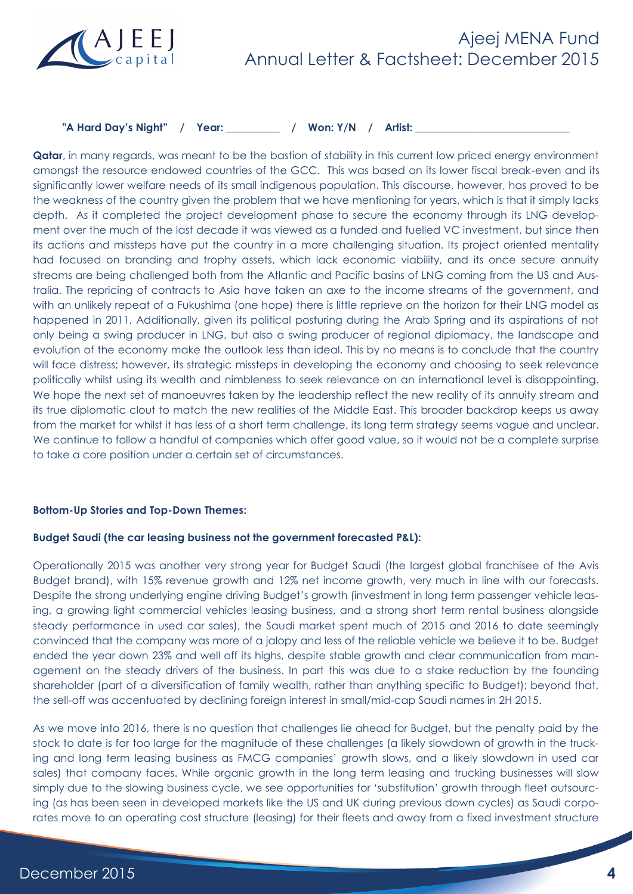

## "A Hard Day's Night" / Year: / Won: Y/N / Artist:

**Qatar**, in many regards, was meant to be the bastion of stability in this current low priced energy environment amongst the resource endowed countries of the GCC. This was based on its lower fiscal break-even and its significantly lower welfare needs of its small indigenous population. This discourse, however, has proved to be the weakness of the country given the problem that we have mentioning for years, which is that it simply lacks depth. As it completed the project development phase to secure the economy through its LNG development over the much of the last decade it was viewed as a funded and fuelled VC investment, but since then its actions and missteps have put the country in a more challenging situation. Its project oriented mentality had focused on branding and trophy assets, which lack economic viability, and its once secure annuity streams are being challenged both from the Atlantic and Pacific basins of LNG coming from the US and Australia. The repricing of contracts to Asia have taken an axe to the income streams of the government, and with an unlikely repeat of a Fukushima (one hope) there is little reprieve on the horizon for their LNG model as happened in 2011. Additionally, given its political posturing during the Arab Spring and its aspirations of not only being a swing producer in LNG, but also a swing producer of regional diplomacy, the landscape and evolution of the economy make the outlook less than ideal. This by no means is to conclude that the country will face distress; however, its strategic missteps in developing the economy and choosing to seek relevance politically whilst using its wealth and nimbleness to seek relevance on an international level is disappointing. We hope the next set of manoeuvres taken by the leadership reflect the new reality of its annuity stream and its true diplomatic clout to match the new realities of the Middle East. This broader backdrop keeps us away from the market for whilst it has less of a short term challenge, its long term strategy seems vague and unclear. We continue to follow a handful of companies which offer good value, so it would not be a complete surprise to take a core position under a certain set of circumstances.

### **Bottom-Up Stories and Top-Down Themes:**

### **Budget Saudi (the car leasing business not the government forecasted P&L):**

Operationally 2015 was another very strong year for Budget Saudi (the largest global franchisee of the Avis Budget brand), with 15% revenue growth and 12% net income growth, very much in line with our forecasts. Despite the strong underlying engine driving Budget's growth (investment in long term passenger vehicle leasing, a growing light commercial vehicles leasing business, and a strong short term rental business alongside steady performance in used car sales), the Saudi market spent much of 2015 and 2016 to date seemingly convinced that the company was more of a jalopy and less of the reliable vehicle we believe it to be. Budget ended the year down 23% and well off its highs, despite stable growth and clear communication from management on the steady drivers of the business. In part this was due to a stake reduction by the founding shareholder (part of a diversification of family wealth, rather than anything specific to Budget); beyond that, the sell-off was accentuated by declining foreign interest in small/mid-cap Saudi names in 2H 2015.

As we move into 2016, there is no question that challenges lie ahead for Budget, but the penalty paid by the stock to date is far too large for the magnitude of these challenges (a likely slowdown of growth in the trucking and long term leasing business as FMCG companies' growth slows, and a likely slowdown in used car sales) that company faces. While organic growth in the long term leasing and trucking businesses will slow simply due to the slowing business cycle, we see opportunities for 'substitution' growth through fleet outsourcing (as has been seen in developed markets like the US and UK during previous down cycles) as Saudi corporates move to an operating cost structure (leasing) for their fleets and away from a fixed investment structure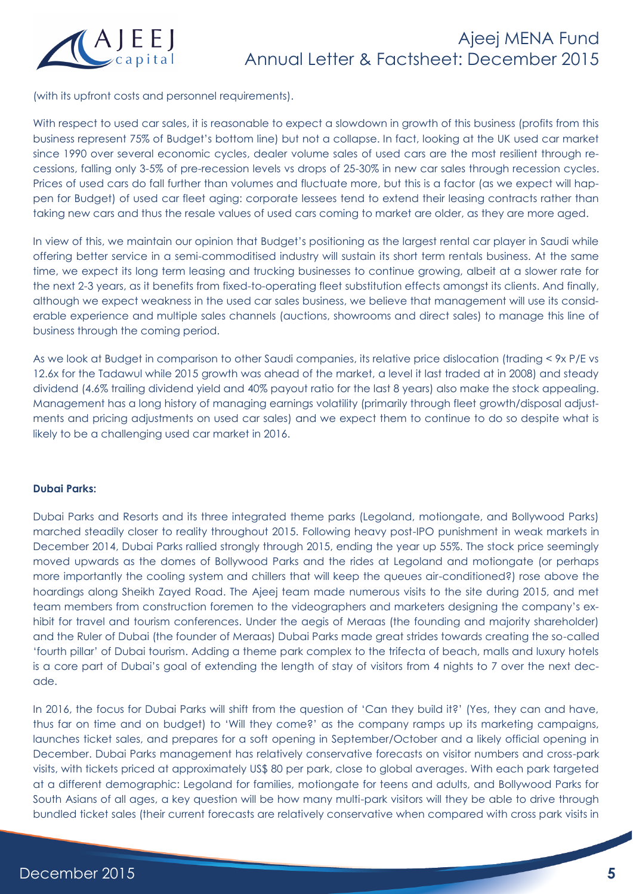

(with its upfront costs and personnel requirements).

With respect to used car sales, it is reasonable to expect a slowdown in growth of this business (profits from this business represent 75% of Budget's bottom line) but not a collapse. In fact, looking at the UK used car market since 1990 over several economic cycles, dealer volume sales of used cars are the most resilient through recessions, falling only 3-5% of pre-recession levels vs drops of 25-30% in new car sales through recession cycles. Prices of used cars do fall further than volumes and fluctuate more, but this is a factor (as we expect will happen for Budget) of used car fleet aging: corporate lessees tend to extend their leasing contracts rather than taking new cars and thus the resale values of used cars coming to market are older, as they are more aged.

In view of this, we maintain our opinion that Budget's positioning as the largest rental car player in Saudi while offering better service in a semi-commoditised industry will sustain its short term rentals business. At the same time, we expect its long term leasing and trucking businesses to continue growing, albeit at a slower rate for the next 2-3 years, as it benefits from fixed-to-operating fleet substitution effects amongst its clients. And finally, although we expect weakness in the used car sales business, we believe that management will use its considerable experience and multiple sales channels (auctions, showrooms and direct sales) to manage this line of business through the coming period.

As we look at Budget in comparison to other Saudi companies, its relative price dislocation (trading < 9x P/E vs 12.6x for the Tadawul while 2015 growth was ahead of the market, a level it last traded at in 2008) and steady dividend (4.6% trailing dividend yield and 40% payout ratio for the last 8 years) also make the stock appealing. Management has a long history of managing earnings volatility (primarily through fleet growth/disposal adjustments and pricing adjustments on used car sales) and we expect them to continue to do so despite what is likely to be a challenging used car market in 2016.

### **Dubai Parks:**

Dubai Parks and Resorts and its three integrated theme parks (Legoland, motiongate, and Bollywood Parks) marched steadily closer to reality throughout 2015. Following heavy post-IPO punishment in weak markets in December 2014, Dubai Parks rallied strongly through 2015, ending the year up 55%. The stock price seemingly moved upwards as the domes of Bollywood Parks and the rides at Legoland and motiongate (or perhaps more importantly the cooling system and chillers that will keep the queues air-conditioned?) rose above the hoardings along Sheikh Zayed Road. The Ajeej team made numerous visits to the site during 2015, and met team members from construction foremen to the videographers and marketers designing the company's exhibit for travel and tourism conferences. Under the aegis of Meraas (the founding and majority shareholder) and the Ruler of Dubai (the founder of Meraas) Dubai Parks made great strides towards creating the so-called 'fourth pillar' of Dubai tourism. Adding a theme park complex to the trifecta of beach, malls and luxury hotels is a core part of Dubai's goal of extending the length of stay of visitors from 4 nights to 7 over the next decade.

In 2016, the focus for Dubai Parks will shift from the question of 'Can they build it?' (Yes, they can and have, thus far on time and on budget) to 'Will they come?' as the company ramps up its marketing campaigns, launches ticket sales, and prepares for a soft opening in September/October and a likely official opening in December. Dubai Parks management has relatively conservative forecasts on visitor numbers and cross-park visits, with tickets priced at approximately US\$ 80 per park, close to global averages. With each park targeted at a different demographic: Legoland for families, motiongate for teens and adults, and Bollywood Parks for South Asians of all ages, a key question will be how many multi-park visitors will they be able to drive through bundled ticket sales (their current forecasts are relatively conservative when compared with cross park visits in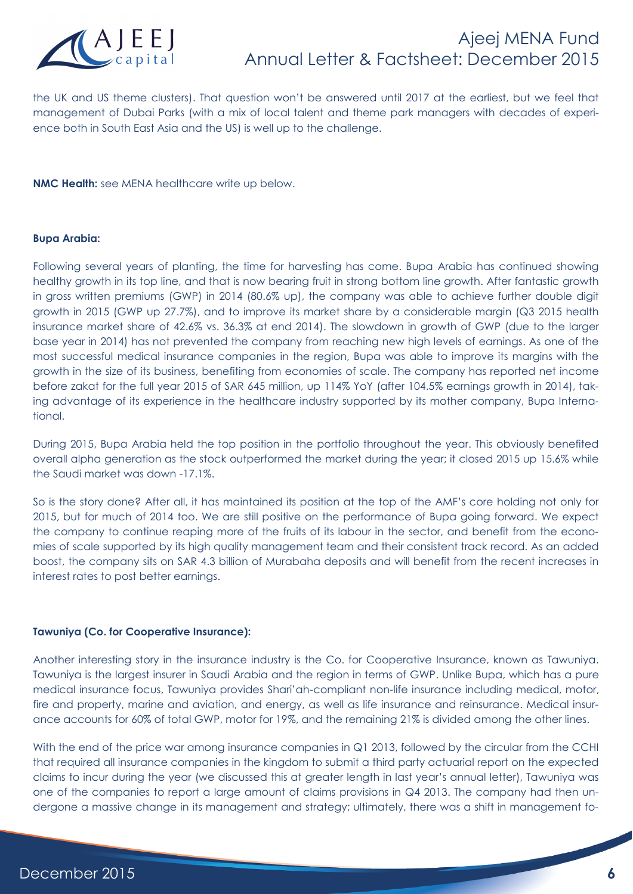

the UK and US theme clusters). That question won't be answered until 2017 at the earliest, but we feel that management of Dubai Parks (with a mix of local talent and theme park managers with decades of experience both in South East Asia and the US) is well up to the challenge.

**NMC Health:** see MENA healthcare write up below.

#### **Bupa Arabia:**

Following several years of planting, the time for harvesting has come. Bupa Arabia has continued showing healthy growth in its top line, and that is now bearing fruit in strong bottom line growth. After fantastic growth in gross written premiums (GWP) in 2014 (80.6% up), the company was able to achieve further double digit growth in 2015 (GWP up 27.7%), and to improve its market share by a considerable margin (Q3 2015 health insurance market share of 42.6% vs. 36.3% at end 2014). The slowdown in growth of GWP (due to the larger base year in 2014) has not prevented the company from reaching new high levels of earnings. As one of the most successful medical insurance companies in the region, Bupa was able to improve its margins with the growth in the size of its business, benefiting from economies of scale. The company has reported net income before zakat for the full year 2015 of SAR 645 million, up 114% YoY (after 104.5% earnings growth in 2014), taking advantage of its experience in the healthcare industry supported by its mother company, Bupa International.

During 2015, Bupa Arabia held the top position in the portfolio throughout the year. This obviously benefited overall alpha generation as the stock outperformed the market during the year; it closed 2015 up 15.6% while the Saudi market was down -17.1%.

So is the story done? After all, it has maintained its position at the top of the AMF's core holding not only for 2015, but for much of 2014 too. We are still positive on the performance of Bupa going forward. We expect the company to continue reaping more of the fruits of its labour in the sector, and benefit from the economies of scale supported by its high quality management team and their consistent track record. As an added boost, the company sits on SAR 4.3 billion of Murabaha deposits and will benefit from the recent increases in interest rates to post better earnings.

#### **Tawuniya (Co. for Cooperative Insurance):**

Another interesting story in the insurance industry is the Co. for Cooperative Insurance, known as Tawuniya. Tawuniya is the largest insurer in Saudi Arabia and the region in terms of GWP. Unlike Bupa, which has a pure medical insurance focus, Tawuniya provides Shari'ah-compliant non-life insurance including medical, motor, fire and property, marine and aviation, and energy, as well as life insurance and reinsurance. Medical insurance accounts for 60% of total GWP, motor for 19%, and the remaining 21% is divided among the other lines.

With the end of the price war among insurance companies in Q1 2013, followed by the circular from the CCHI that required all insurance companies in the kingdom to submit a third party actuarial report on the expected claims to incur during the year (we discussed this at greater length in last year's annual letter), Tawuniya was one of the companies to report a large amount of claims provisions in Q4 2013. The company had then undergone a massive change in its management and strategy; ultimately, there was a shift in management fo-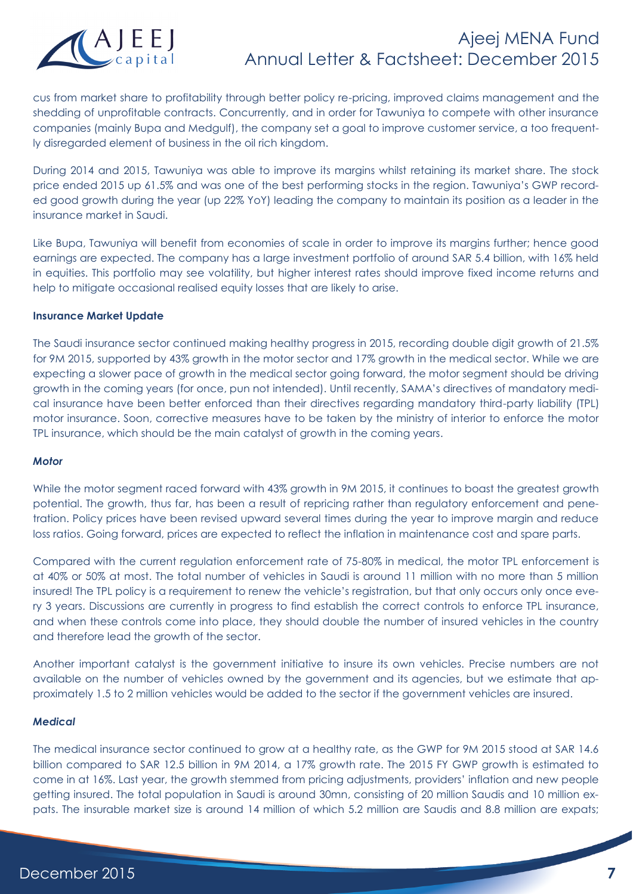

cus from market share to profitability through better policy re-pricing, improved claims management and the shedding of unprofitable contracts. Concurrently, and in order for Tawuniya to compete with other insurance companies (mainly Bupa and Medgulf), the company set a goal to improve customer service, a too frequently disregarded element of business in the oil rich kingdom.

During 2014 and 2015, Tawuniya was able to improve its margins whilst retaining its market share. The stock price ended 2015 up 61.5% and was one of the best performing stocks in the region. Tawuniya's GWP recorded good growth during the year (up 22% YoY) leading the company to maintain its position as a leader in the insurance market in Saudi.

Like Bupa, Tawuniya will benefit from economies of scale in order to improve its margins further; hence good earnings are expected. The company has a large investment portfolio of around SAR 5.4 billion, with 16% held in equities. This portfolio may see volatility, but higher interest rates should improve fixed income returns and help to mitigate occasional realised equity losses that are likely to arise.

### **Insurance Market Update**

The Saudi insurance sector continued making healthy progress in 2015, recording double digit growth of 21.5% for 9M 2015, supported by 43% growth in the motor sector and 17% growth in the medical sector. While we are expecting a slower pace of growth in the medical sector going forward, the motor segment should be driving growth in the coming years (for once, pun not intended). Until recently, SAMA's directives of mandatory medical insurance have been better enforced than their directives regarding mandatory third-party liability (TPL) motor insurance. Soon, corrective measures have to be taken by the ministry of interior to enforce the motor TPL insurance, which should be the main catalyst of growth in the coming years.

### *Motor*

While the motor segment raced forward with 43% growth in 9M 2015, it continues to boast the greatest growth potential. The growth, thus far, has been a result of repricing rather than regulatory enforcement and penetration. Policy prices have been revised upward several times during the year to improve margin and reduce loss ratios. Going forward, prices are expected to reflect the inflation in maintenance cost and spare parts.

Compared with the current regulation enforcement rate of 75-80% in medical, the motor TPL enforcement is at 40% or 50% at most. The total number of vehicles in Saudi is around 11 million with no more than 5 million insured! The TPL policy is a requirement to renew the vehicle's registration, but that only occurs only once every 3 years. Discussions are currently in progress to find establish the correct controls to enforce TPL insurance, and when these controls come into place, they should double the number of insured vehicles in the country and therefore lead the growth of the sector.

Another important catalyst is the government initiative to insure its own vehicles. Precise numbers are not available on the number of vehicles owned by the government and its agencies, but we estimate that approximately 1.5 to 2 million vehicles would be added to the sector if the government vehicles are insured.

### *Medical*

The medical insurance sector continued to grow at a healthy rate, as the GWP for 9M 2015 stood at SAR 14.6 billion compared to SAR 12.5 billion in 9M 2014, a 17% growth rate. The 2015 FY GWP growth is estimated to come in at 16%. Last year, the growth stemmed from pricing adjustments, providers' inflation and new people getting insured. The total population in Saudi is around 30mn, consisting of 20 million Saudis and 10 million expats. The insurable market size is around 14 million of which 5.2 million are Saudis and 8.8 million are expats;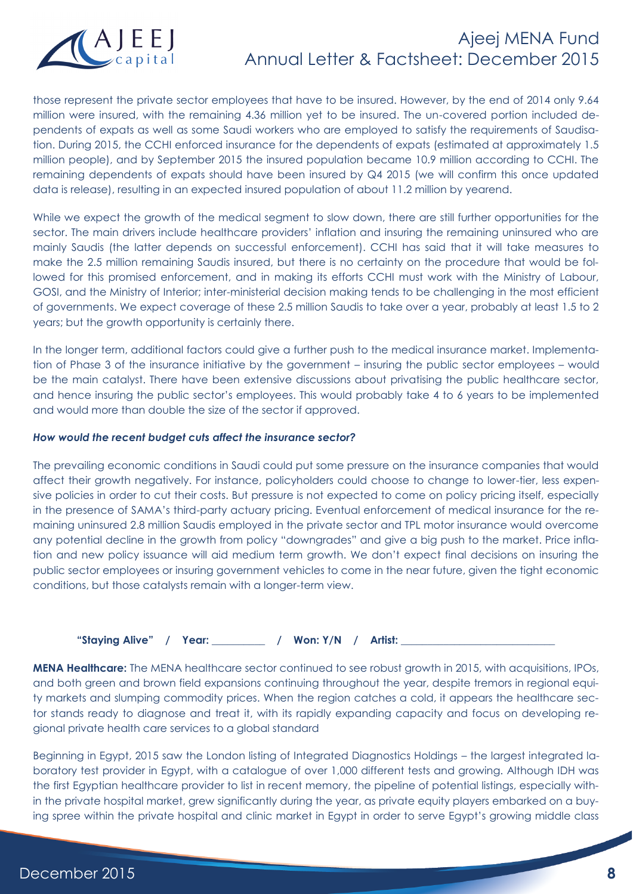

those represent the private sector employees that have to be insured. However, by the end of 2014 only 9.64 million were insured, with the remaining 4.36 million yet to be insured. The un-covered portion included dependents of expats as well as some Saudi workers who are employed to satisfy the requirements of Saudisation. During 2015, the CCHI enforced insurance for the dependents of expats (estimated at approximately 1.5 million people), and by September 2015 the insured population became 10.9 million according to CCHI. The remaining dependents of expats should have been insured by Q4 2015 (we will confirm this once updated data is release), resulting in an expected insured population of about 11.2 million by yearend.

While we expect the growth of the medical segment to slow down, there are still further opportunities for the sector. The main drivers include healthcare providers' inflation and insuring the remaining uninsured who are mainly Saudis (the latter depends on successful enforcement). CCHI has said that it will take measures to make the 2.5 million remaining Saudis insured, but there is no certainty on the procedure that would be followed for this promised enforcement, and in making its efforts CCHI must work with the Ministry of Labour, GOSI, and the Ministry of Interior; inter-ministerial decision making tends to be challenging in the most efficient of governments. We expect coverage of these 2.5 million Saudis to take over a year, probably at least 1.5 to 2 years; but the growth opportunity is certainly there.

In the longer term, additional factors could give a further push to the medical insurance market. Implementation of Phase 3 of the insurance initiative by the government – insuring the public sector employees – would be the main catalyst. There have been extensive discussions about privatising the public healthcare sector, and hence insuring the public sector's employees. This would probably take 4 to 6 years to be implemented and would more than double the size of the sector if approved.

### *How would the recent budget cuts affect the insurance sector?*

The prevailing economic conditions in Saudi could put some pressure on the insurance companies that would affect their growth negatively. For instance, policyholders could choose to change to lower-tier, less expensive policies in order to cut their costs. But pressure is not expected to come on policy pricing itself, especially in the presence of SAMA's third-party actuary pricing. Eventual enforcement of medical insurance for the remaining uninsured 2.8 million Saudis employed in the private sector and TPL motor insurance would overcome any potential decline in the growth from policy "downgrades" and give a big push to the market. Price inflation and new policy issuance will aid medium term growth. We don't expect final decisions on insuring the public sector employees or insuring government vehicles to come in the near future, given the tight economic conditions, but those catalysts remain with a longer-term view.

"Staying Alive" / Year: / Won: Y/N / Artist:

**MENA Healthcare:** The MENA healthcare sector continued to see robust growth in 2015, with acquisitions, IPOs, and both green and brown field expansions continuing throughout the year, despite tremors in regional equity markets and slumping commodity prices. When the region catches a cold, it appears the healthcare sector stands ready to diagnose and treat it, with its rapidly expanding capacity and focus on developing regional private health care services to a global standard

Beginning in Egypt, 2015 saw the London listing of Integrated Diagnostics Holdings – the largest integrated laboratory test provider in Egypt, with a catalogue of over 1,000 different tests and growing. Although IDH was the first Egyptian healthcare provider to list in recent memory, the pipeline of potential listings, especially within the private hospital market, grew significantly during the year, as private equity players embarked on a buying spree within the private hospital and clinic market in Egypt in order to serve Egypt's growing middle class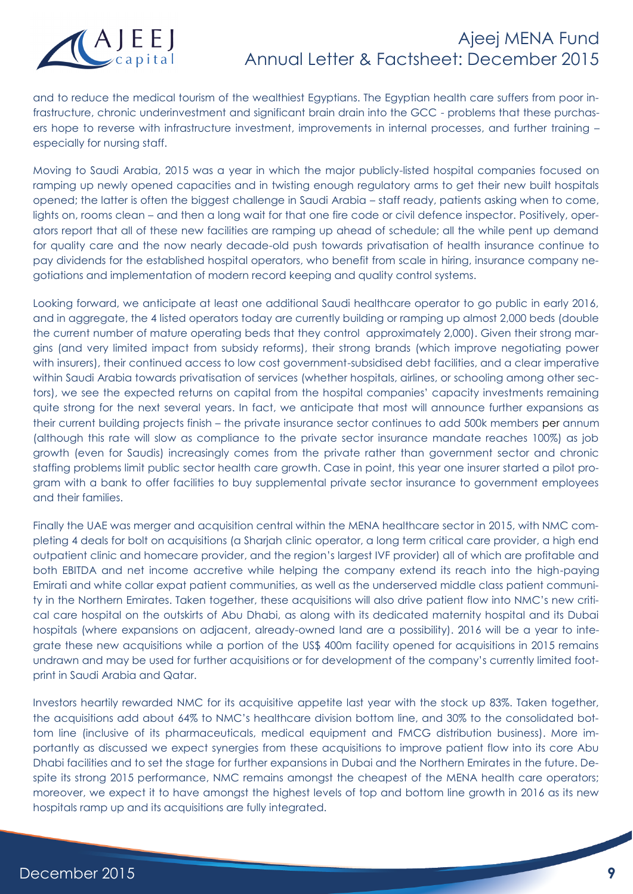

and to reduce the medical tourism of the wealthiest Egyptians. The Egyptian health care suffers from poor infrastructure, chronic underinvestment and significant brain drain into the GCC - problems that these purchasers hope to reverse with infrastructure investment, improvements in internal processes, and further training – especially for nursing staff.

Moving to Saudi Arabia, 2015 was a year in which the major publicly-listed hospital companies focused on ramping up newly opened capacities and in twisting enough regulatory arms to get their new built hospitals opened; the latter is often the biggest challenge in Saudi Arabia – staff ready, patients asking when to come, lights on, rooms clean – and then a long wait for that one fire code or civil defence inspector. Positively, operators report that all of these new facilities are ramping up ahead of schedule; all the while pent up demand for quality care and the now nearly decade-old push towards privatisation of health insurance continue to pay dividends for the established hospital operators, who benefit from scale in hiring, insurance company negotiations and implementation of modern record keeping and quality control systems.

Looking forward, we anticipate at least one additional Saudi healthcare operator to go public in early 2016, and in aggregate, the 4 listed operators today are currently building or ramping up almost 2,000 beds (double the current number of mature operating beds that they control approximately 2,000). Given their strong margins (and very limited impact from subsidy reforms), their strong brands (which improve negotiating power with insurers), their continued access to low cost government-subsidised debt facilities, and a clear imperative within Saudi Arabia towards privatisation of services (whether hospitals, airlines, or schooling among other sectors), we see the expected returns on capital from the hospital companies' capacity investments remaining quite strong for the next several years. In fact, we anticipate that most will announce further expansions as their current building projects finish – the private insurance sector continues to add 500k members per annum (although this rate will slow as compliance to the private sector insurance mandate reaches 100%) as job growth (even for Saudis) increasingly comes from the private rather than government sector and chronic staffing problems limit public sector health care growth. Case in point, this year one insurer started a pilot program with a bank to offer facilities to buy supplemental private sector insurance to government employees and their families.

Finally the UAE was merger and acquisition central within the MENA healthcare sector in 2015, with NMC completing 4 deals for bolt on acquisitions (a Sharjah clinic operator, a long term critical care provider, a high end outpatient clinic and homecare provider, and the region's largest IVF provider) all of which are profitable and both EBITDA and net income accretive while helping the company extend its reach into the high-paying Emirati and white collar expat patient communities, as well as the underserved middle class patient community in the Northern Emirates. Taken together, these acquisitions will also drive patient flow into NMC's new critical care hospital on the outskirts of Abu Dhabi, as along with its dedicated maternity hospital and its Dubai hospitals (where expansions on adjacent, already-owned land are a possibility). 2016 will be a year to integrate these new acquisitions while a portion of the US\$ 400m facility opened for acquisitions in 2015 remains undrawn and may be used for further acquisitions or for development of the company's currently limited footprint in Saudi Arabia and Qatar.

Investors heartily rewarded NMC for its acquisitive appetite last year with the stock up 83%. Taken together, the acquisitions add about 64% to NMC's healthcare division bottom line, and 30% to the consolidated bottom line (inclusive of its pharmaceuticals, medical equipment and FMCG distribution business). More importantly as discussed we expect synergies from these acquisitions to improve patient flow into its core Abu Dhabi facilities and to set the stage for further expansions in Dubai and the Northern Emirates in the future. Despite its strong 2015 performance, NMC remains amongst the cheapest of the MENA health care operators; moreover, we expect it to have amongst the highest levels of top and bottom line growth in 2016 as its new hospitals ramp up and its acquisitions are fully integrated.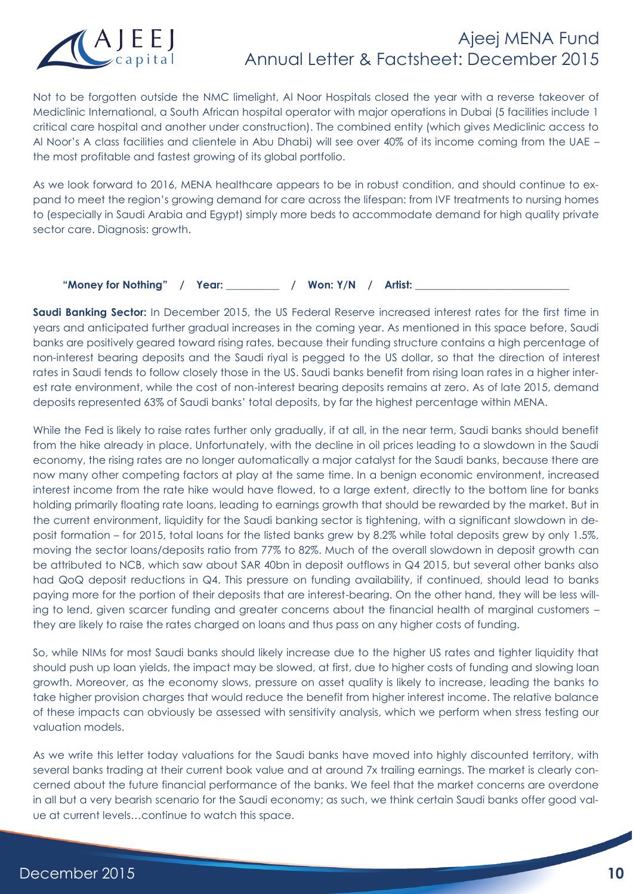

Not to be forgotten outside the NMC limelight, Al Noor Hospitals closed the year with a reverse takeover of Mediclinic International, a South African hospital operator with major operations in Dubai (5 facilities include 1 critical care hospital and another under construction). The combined entity (which gives Mediclinic access to Al Noor's A class facilities and clientele in Abu Dhabi) will see over 40% of its income coming from the UAE – the most profitable and fastest growing of its global portfolio.

As we look forward to 2016, MENA healthcare appears to be in robust condition, and should continue to expand to meet the region's growing demand for care across the lifespan: from IVF treatments to nursing homes to (especially in Saudi Arabia and Egypt) simply more beds to accommodate demand for high quality private sector care. Diagnosis: growth.

"Money for Nothing" / Year: / Won: Y/N / Artist:

**Saudi Banking Sector:** In December 2015, the US Federal Reserve increased interest rates for the first time in years and anticipated further gradual increases in the coming year. As mentioned in this space before, Saudi banks are positively geared toward rising rates, because their funding structure contains a high percentage of non-interest bearing deposits and the Saudi riyal is pegged to the US dollar, so that the direction of interest rates in Saudi tends to follow closely those in the US. Saudi banks benefit from rising loan rates in a higher interest rate environment, while the cost of non-interest bearing deposits remains at zero. As of late 2015, demand deposits represented 63% of Saudi banks' total deposits, by far the highest percentage within MENA.

While the Fed is likely to raise rates further only gradually, if at all, in the near term, Saudi banks should benefit from the hike already in place. Unfortunately, with the decline in oil prices leading to a slowdown in the Saudi economy, the rising rates are no longer automatically a major catalyst for the Saudi banks, because there are now many other competing factors at play at the same time. In a benign economic environment, increased interest income from the rate hike would have flowed, to a large extent, directly to the bottom line for banks holding primarily floating rate loans, leading to earnings growth that should be rewarded by the market. But in the current environment, liquidity for the Saudi banking sector is tightening, with a significant slowdown in deposit formation – for 2015, total loans for the listed banks grew by 8.2% while total deposits grew by only 1.5%, moving the sector loans/deposits ratio from 77% to 82%. Much of the overall slowdown in deposit growth can be attributed to NCB, which saw about SAR 40bn in deposit outflows in Q4 2015, but several other banks also had QoQ deposit reductions in Q4. This pressure on funding availability, if continued, should lead to banks paying more for the portion of their deposits that are interest-bearing. On the other hand, they will be less willing to lend, given scarcer funding and greater concerns about the financial health of marginal customers – they are likely to raise the rates charged on loans and thus pass on any higher costs of funding.

So, while NIMs for most Saudi banks should likely increase due to the higher US rates and tighter liquidity that should push up loan yields, the impact may be slowed, at first, due to higher costs of funding and slowing loan growth. Moreover, as the economy slows, pressure on asset quality is likely to increase, leading the banks to take higher provision charges that would reduce the benefit from higher interest income. The relative balance of these impacts can obviously be assessed with sensitivity analysis, which we perform when stress testing our valuation models.

As we write this letter today valuations for the Saudi banks have moved into highly discounted territory, with several banks trading at their current book value and at around 7x trailing earnings. The market is clearly concerned about the future financial performance of the banks. We feel that the market concerns are overdone in all but a very bearish scenario for the Saudi economy; as such, we think certain Saudi banks offer good value at current levels…continue to watch this space.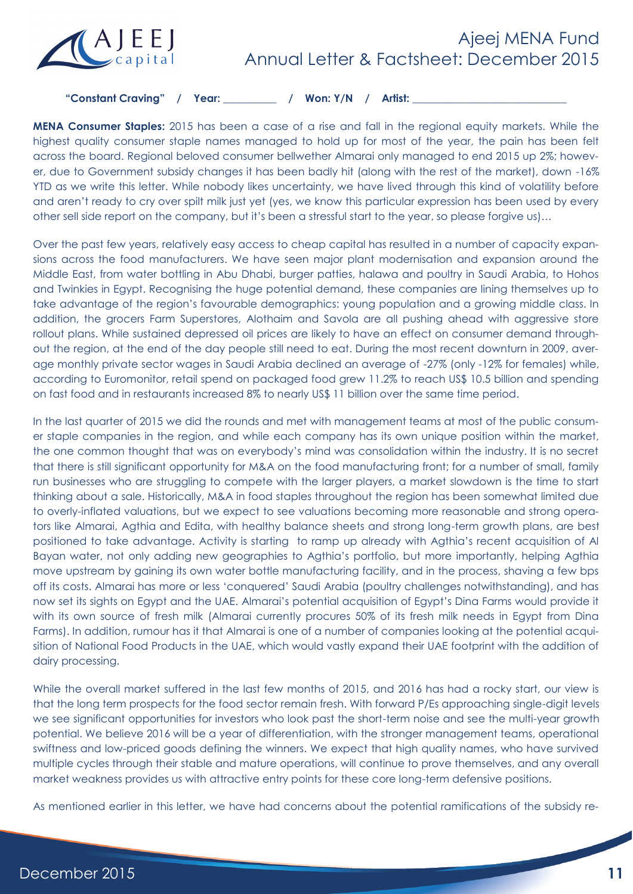

"Constant Craving" / Year: \_\_\_\_\_\_\_\_ / Won: Y/N / Artist:

**MENA Consumer Staples:** 2015 has been a case of a rise and fall in the regional equity markets. While the highest quality consumer staple names managed to hold up for most of the year, the pain has been felt across the board. Regional beloved consumer bellwether Almarai only managed to end 2015 up 2%; however, due to Government subsidy changes it has been badly hit (along with the rest of the market), down -16% YTD as we write this letter. While nobody likes uncertainty, we have lived through this kind of volatility before and aren't ready to cry over spilt milk just yet (yes, we know this particular expression has been used by every other sell side report on the company, but it's been a stressful start to the year, so please forgive us)…

Over the past few years, relatively easy access to cheap capital has resulted in a number of capacity expansions across the food manufacturers. We have seen major plant modernisation and expansion around the Middle East, from water bottling in Abu Dhabi, burger patties, halawa and poultry in Saudi Arabia, to Hohos and Twinkies in Egypt. Recognising the huge potential demand, these companies are lining themselves up to take advantage of the region's favourable demographics: young population and a growing middle class. In addition, the grocers Farm Superstores, Alothaim and Savola are all pushing ahead with aggressive store rollout plans. While sustained depressed oil prices are likely to have an effect on consumer demand throughout the region, at the end of the day people still need to eat. During the most recent downturn in 2009, average monthly private sector wages in Saudi Arabia declined an average of -27% (only -12% for females) while, according to Euromonitor, retail spend on packaged food grew 11.2% to reach US\$ 10.5 billion and spending on fast food and in restaurants increased 8% to nearly US\$ 11 billion over the same time period.

In the last quarter of 2015 we did the rounds and met with management teams at most of the public consumer staple companies in the region, and while each company has its own unique position within the market, the one common thought that was on everybody's mind was consolidation within the industry. It is no secret that there is still significant opportunity for M&A on the food manufacturing front; for a number of small, family run businesses who are struggling to compete with the larger players, a market slowdown is the time to start thinking about a sale. Historically, M&A in food staples throughout the region has been somewhat limited due to overly-inflated valuations, but we expect to see valuations becoming more reasonable and strong operators like Almarai, Agthia and Edita, with healthy balance sheets and strong long-term growth plans, are best positioned to take advantage. Activity is starting to ramp up already with Agthia's recent acquisition of Al Bayan water, not only adding new geographies to Agthia's portfolio, but more importantly, helping Agthia move upstream by gaining its own water bottle manufacturing facility, and in the process, shaving a few bps off its costs. Almarai has more or less 'conquered' Saudi Arabia (poultry challenges notwithstanding), and has now set its sights on Egypt and the UAE. Almarai's potential acquisition of Egypt's Dina Farms would provide it with its own source of fresh milk (Almarai currently procures 50% of its fresh milk needs in Egypt from Dina Farms). In addition, rumour has it that Almarai is one of a number of companies looking at the potential acquisition of National Food Products in the UAE, which would vastly expand their UAE footprint with the addition of dairy processing.

While the overall market suffered in the last few months of 2015, and 2016 has had a rocky start, our view is that the long term prospects for the food sector remain fresh. With forward P/Es approaching single-digit levels we see significant opportunities for investors who look past the short-term noise and see the multi-year growth potential. We believe 2016 will be a year of differentiation, with the stronger management teams, operational swiftness and low-priced goods defining the winners. We expect that high quality names, who have survived multiple cycles through their stable and mature operations, will continue to prove themselves, and any overall market weakness provides us with attractive entry points for these core long-term defensive positions.

As mentioned earlier in this letter, we have had concerns about the potential ramifications of the subsidy re-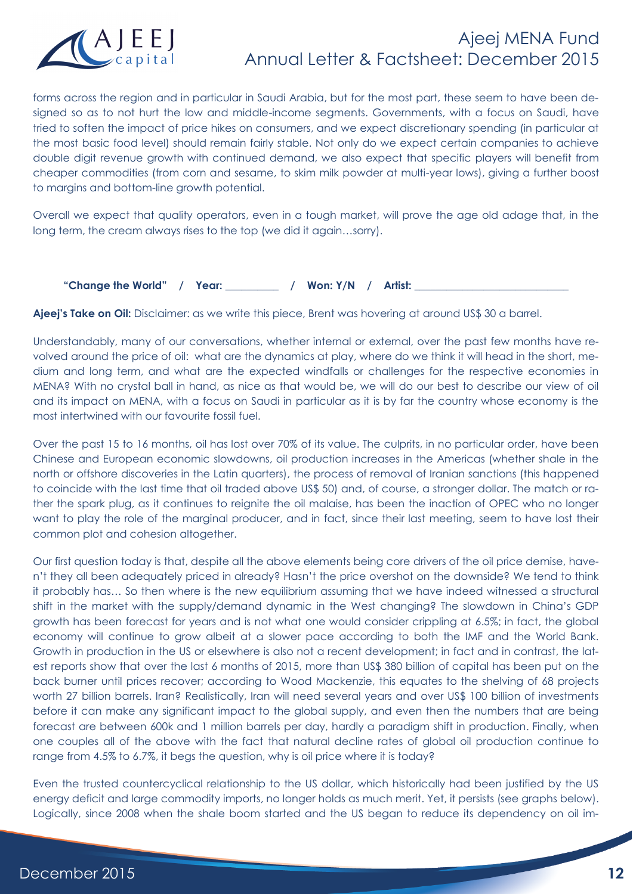

forms across the region and in particular in Saudi Arabia, but for the most part, these seem to have been designed so as to not hurt the low and middle-income segments. Governments, with a focus on Saudi, have tried to soften the impact of price hikes on consumers, and we expect discretionary spending (in particular at the most basic food level) should remain fairly stable. Not only do we expect certain companies to achieve double digit revenue growth with continued demand, we also expect that specific players will benefit from cheaper commodities (from corn and sesame, to skim milk powder at multi-year lows), giving a further boost to margins and bottom-line growth potential.

Overall we expect that quality operators, even in a tough market, will prove the age old adage that, in the long term, the cream always rises to the top (we did it again…sorry).

"Change the World" / Year: \_\_\_\_\_\_\_\_ / Won: Y/N / Artist:

Ajeej's Take on Oil: Disclaimer: as we write this piece, Brent was hovering at around US\$ 30 a barrel.

Understandably, many of our conversations, whether internal or external, over the past few months have revolved around the price of oil: what are the dynamics at play, where do we think it will head in the short, medium and long term, and what are the expected windfalls or challenges for the respective economies in MENA? With no crystal ball in hand, as nice as that would be, we will do our best to describe our view of oil and its impact on MENA, with a focus on Saudi in particular as it is by far the country whose economy is the most intertwined with our favourite fossil fuel.

Over the past 15 to 16 months, oil has lost over 70% of its value. The culprits, in no particular order, have been Chinese and European economic slowdowns, oil production increases in the Americas (whether shale in the north or offshore discoveries in the Latin quarters), the process of removal of Iranian sanctions (this happened to coincide with the last time that oil traded above US\$ 50) and, of course, a stronger dollar. The match or rather the spark plug, as it continues to reignite the oil malaise, has been the inaction of OPEC who no longer want to play the role of the marginal producer, and in fact, since their last meeting, seem to have lost their common plot and cohesion altogether.

Our first question today is that, despite all the above elements being core drivers of the oil price demise, haven't they all been adequately priced in already? Hasn't the price overshot on the downside? We tend to think it probably has… So then where is the new equilibrium assuming that we have indeed witnessed a structural shift in the market with the supply/demand dynamic in the West changing? The slowdown in China's GDP growth has been forecast for years and is not what one would consider crippling at 6.5%; in fact, the global economy will continue to grow albeit at a slower pace according to both the IMF and the World Bank. Growth in production in the US or elsewhere is also not a recent development; in fact and in contrast, the latest reports show that over the last 6 months of 2015, more than US\$ 380 billion of capital has been put on the back burner until prices recover; according to Wood Mackenzie, this equates to the shelving of 68 projects worth 27 billion barrels. Iran? Realistically, Iran will need several years and over US\$ 100 billion of investments before it can make any significant impact to the global supply, and even then the numbers that are being forecast are between 600k and 1 million barrels per day, hardly a paradigm shift in production. Finally, when one couples all of the above with the fact that natural decline rates of global oil production continue to range from 4.5% to 6.7%, it begs the question, why is oil price where it is today?

Even the trusted countercyclical relationship to the US dollar, which historically had been justified by the US energy deficit and large commodity imports, no longer holds as much merit. Yet, it persists (see graphs below). Logically, since 2008 when the shale boom started and the US began to reduce its dependency on oil im-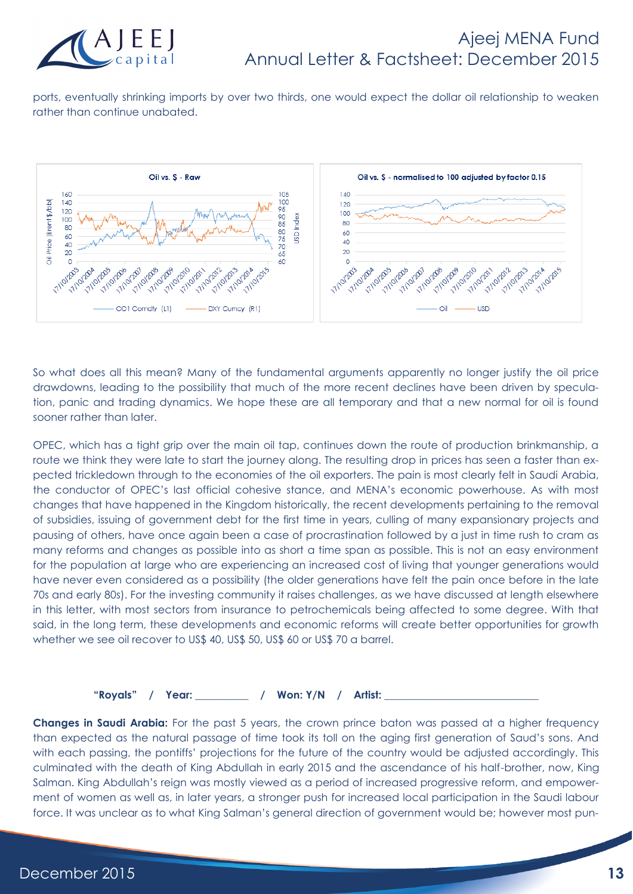

ports, eventually shrinking imports by over two thirds, one would expect the dollar oil relationship to weaken rather than continue unabated.



So what does all this mean? Many of the fundamental arguments apparently no longer justify the oil price drawdowns, leading to the possibility that much of the more recent declines have been driven by speculation, panic and trading dynamics. We hope these are all temporary and that a new normal for oil is found sooner rather than later.

OPEC, which has a tight grip over the main oil tap, continues down the route of production brinkmanship, a route we think they were late to start the journey along. The resulting drop in prices has seen a faster than expected trickledown through to the economies of the oil exporters. The pain is most clearly felt in Saudi Arabia, the conductor of OPEC's last official cohesive stance, and MENA's economic powerhouse. As with most changes that have happened in the Kingdom historically, the recent developments pertaining to the removal of subsidies, issuing of government debt for the first time in years, culling of many expansionary projects and pausing of others, have once again been a case of procrastination followed by a just in time rush to cram as many reforms and changes as possible into as short a time span as possible. This is not an easy environment for the population at large who are experiencing an increased cost of living that younger generations would have never even considered as a possibility (the older generations have felt the pain once before in the late 70s and early 80s). For the investing community it raises challenges, as we have discussed at length elsewhere in this letter, with most sectors from insurance to petrochemicals being affected to some degree. With that said, in the long term, these developments and economic reforms will create better opportunities for growth whether we see oil recover to US\$ 40, US\$ 50, US\$ 60 or US\$ 70 a barrel.

**"Royals" / Year: \_\_\_\_\_\_\_\_\_\_ / Won: Y/N / Artist: \_\_\_\_\_\_\_\_\_\_\_\_\_\_\_\_\_\_\_\_\_\_\_\_\_\_\_\_\_**

**Changes in Saudi Arabia:** For the past 5 years, the crown prince baton was passed at a higher frequency than expected as the natural passage of time took its toll on the aging first generation of Saud's sons. And with each passing, the pontiffs' projections for the future of the country would be adjusted accordingly. This culminated with the death of King Abdullah in early 2015 and the ascendance of his half-brother, now, King Salman. King Abdullah's reign was mostly viewed as a period of increased progressive reform, and empowerment of women as well as, in later years, a stronger push for increased local participation in the Saudi labour force. It was unclear as to what King Salman's general direction of government would be; however most pun-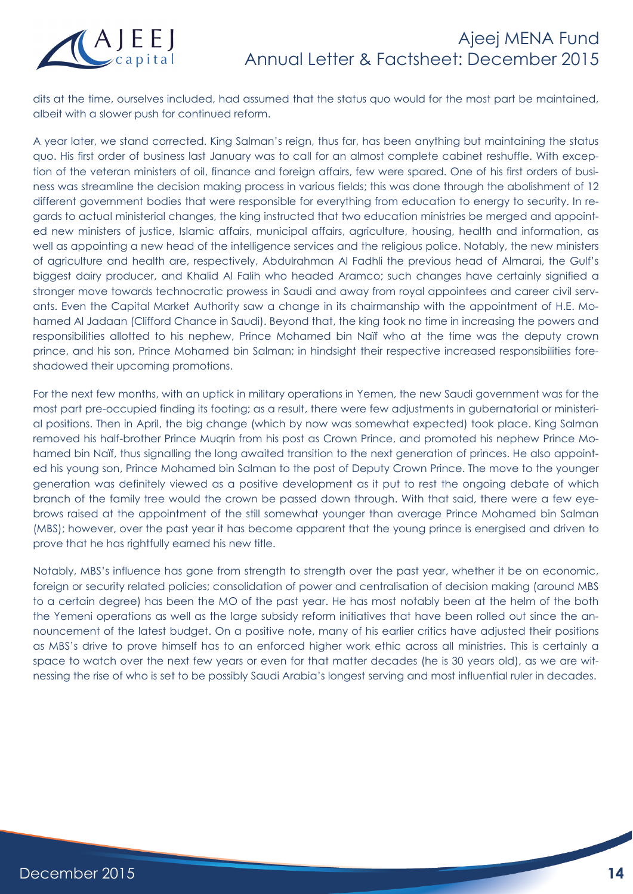

dits at the time, ourselves included, had assumed that the status quo would for the most part be maintained, albeit with a slower push for continued reform.

A year later, we stand corrected. King Salman's reign, thus far, has been anything but maintaining the status quo. His first order of business last January was to call for an almost complete cabinet reshuffle. With exception of the veteran ministers of oil, finance and foreign affairs, few were spared. One of his first orders of business was streamline the decision making process in various fields; this was done through the abolishment of 12 different government bodies that were responsible for everything from education to energy to security. In regards to actual ministerial changes, the king instructed that two education ministries be merged and appointed new ministers of justice, Islamic affairs, municipal affairs, agriculture, housing, health and information, as well as appointing a new head of the intelligence services and the religious police. Notably, the new ministers of agriculture and health are, respectively, Abdulrahman Al Fadhli the previous head of Almarai, the Gulf's biggest dairy producer, and Khalid Al Falih who headed Aramco; such changes have certainly signified a stronger move towards technocratic prowess in Saudi and away from royal appointees and career civil servants. Even the Capital Market Authority saw a change in its chairmanship with the appointment of H.E. Mohamed Al Jadaan (Clifford Chance in Saudi). Beyond that, the king took no time in increasing the powers and responsibilities allotted to his nephew, Prince Mohamed bin Naïf who at the time was the deputy crown prince, and his son, Prince Mohamed bin Salman; in hindsight their respective increased responsibilities foreshadowed their upcoming promotions.

For the next few months, with an uptick in military operations in Yemen, the new Saudi government was for the most part pre-occupied finding its footing; as a result, there were few adjustments in gubernatorial or ministerial positions. Then in April, the big change (which by now was somewhat expected) took place. King Salman removed his half-brother Prince Muqrin from his post as Crown Prince, and promoted his nephew Prince Mohamed bin Naïf, thus signalling the long awaited transition to the next generation of princes. He also appointed his young son, Prince Mohamed bin Salman to the post of Deputy Crown Prince. The move to the younger generation was definitely viewed as a positive development as it put to rest the ongoing debate of which branch of the family tree would the crown be passed down through. With that said, there were a few eyebrows raised at the appointment of the still somewhat younger than average Prince Mohamed bin Salman (MBS); however, over the past year it has become apparent that the young prince is energised and driven to prove that he has rightfully earned his new title.

Notably, MBS's influence has gone from strength to strength over the past year, whether it be on economic, foreign or security related policies; consolidation of power and centralisation of decision making (around MBS to a certain degree) has been the MO of the past year. He has most notably been at the helm of the both the Yemeni operations as well as the large subsidy reform initiatives that have been rolled out since the announcement of the latest budget. On a positive note, many of his earlier critics have adjusted their positions as MBS's drive to prove himself has to an enforced higher work ethic across all ministries. This is certainly a space to watch over the next few years or even for that matter decades (he is 30 years old), as we are witnessing the rise of who is set to be possibly Saudi Arabia's longest serving and most influential ruler in decades.